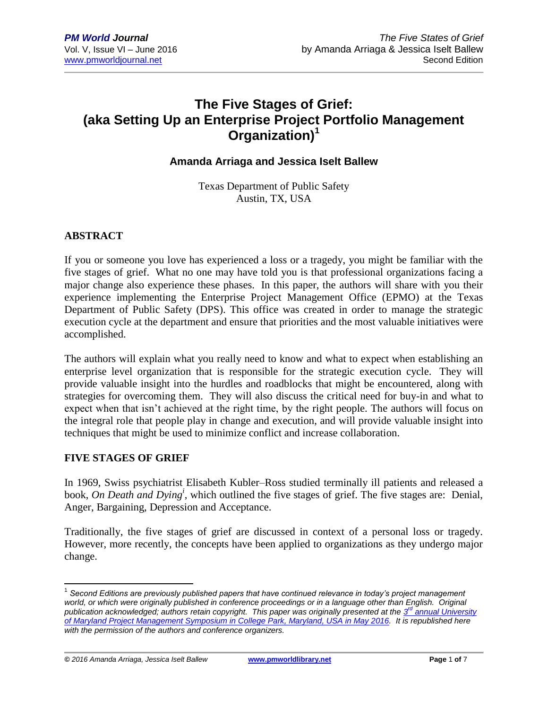# **The Five Stages of Grief: (aka Setting Up an Enterprise Project Portfolio Management Organization)<sup>1</sup>**

## **Amanda Arriaga and Jessica Iselt Ballew**

Texas Department of Public Safety Austin, TX, USA

## **ABSTRACT**

If you or someone you love has experienced a loss or a tragedy, you might be familiar with the five stages of grief. What no one may have told you is that professional organizations facing a major change also experience these phases. In this paper, the authors will share with you their experience implementing the Enterprise Project Management Office (EPMO) at the Texas Department of Public Safety (DPS). This office was created in order to manage the strategic execution cycle at the department and ensure that priorities and the most valuable initiatives were accomplished.

The authors will explain what you really need to know and what to expect when establishing an enterprise level organization that is responsible for the strategic execution cycle. They will provide valuable insight into the hurdles and roadblocks that might be encountered, along with strategies for overcoming them. They will also discuss the critical need for buy-in and what to expect when that isn't achieved at the right time, by the right people. The authors will focus on the integral role that people play in change and execution, and will provide valuable insight into techniques that might be used to minimize conflict and increase collaboration.

#### **FIVE STAGES OF GRIEF**

In 1969, Swiss psychiatrist Elisabeth Kubler–Ross studied terminally ill patients and released a book, *On Death and Dying<sup>i</sup>* , which outlined the five stages of grief. The five stages are: Denial, Anger, Bargaining, Depression and Acceptance.

Traditionally, the five stages of grief are discussed in context of a personal loss or tragedy. However, more recently, the concepts have been applied to organizations as they undergo major change.

*© 2016 Amanda Arriaga, Jessica Iselt Ballew* **[www.pmworldlibrary.net](http://www.pmworldlibrary.net/) Page** 1 **of** 7

 $\overline{\phantom{a}}$ 

<sup>&</sup>lt;sup>1</sup> Second Editions are previously published papers that have continued relevance in today's project management world, or which were originally published in conference proceedings or in a language other than English. Original publication acknowledged; authors retain copyright. This paper was originally presented at the  $3^d$  annual University *[of Maryland Project Management Symposium in College Park, Maryland, USA in May 2016.](http://pmsymposium.umd.edu/) It is republished here with the permission of the authors and conference organizers.*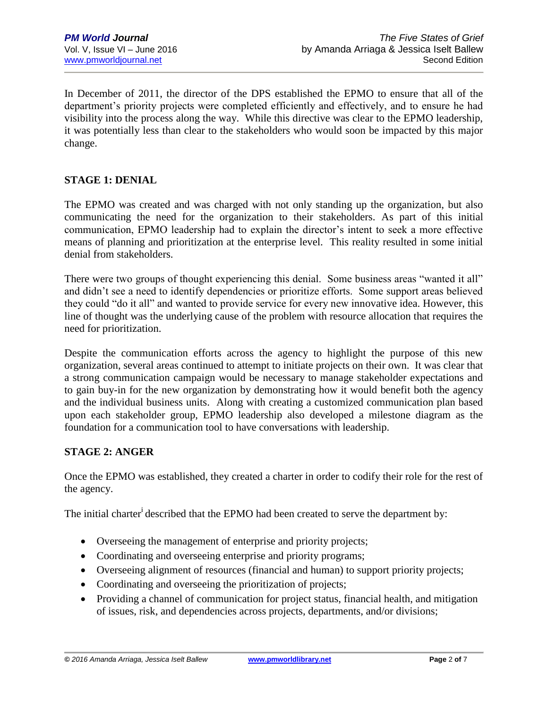In December of 2011, the director of the DPS established the EPMO to ensure that all of the department's priority projects were completed efficiently and effectively, and to ensure he had visibility into the process along the way. While this directive was clear to the EPMO leadership, it was potentially less than clear to the stakeholders who would soon be impacted by this major change.

## **STAGE 1: DENIAL**

The EPMO was created and was charged with not only standing up the organization, but also communicating the need for the organization to their stakeholders. As part of this initial communication, EPMO leadership had to explain the director's intent to seek a more effective means of planning and prioritization at the enterprise level. This reality resulted in some initial denial from stakeholders.

There were two groups of thought experiencing this denial. Some business areas "wanted it all" and didn't see a need to identify dependencies or prioritize efforts. Some support areas believed they could "do it all" and wanted to provide service for every new innovative idea. However, this line of thought was the underlying cause of the problem with resource allocation that requires the need for prioritization.

Despite the communication efforts across the agency to highlight the purpose of this new organization, several areas continued to attempt to initiate projects on their own. It was clear that a strong communication campaign would be necessary to manage stakeholder expectations and to gain buy-in for the new organization by demonstrating how it would benefit both the agency and the individual business units. Along with creating a customized communication plan based upon each stakeholder group, EPMO leadership also developed a milestone diagram as the foundation for a communication tool to have conversations with leadership.

#### **STAGE 2: ANGER**

Once the EPMO was established, they created a charter in order to codify their role for the rest of the agency.

The initial charter<sup>i</sup> described that the EPMO had been created to serve the department by:

- Overseeing the management of enterprise and priority projects;
- Coordinating and overseeing enterprise and priority programs;
- Overseeing alignment of resources (financial and human) to support priority projects;
- Coordinating and overseeing the prioritization of projects;
- Providing a channel of communication for project status, financial health, and mitigation of issues, risk, and dependencies across projects, departments, and/or divisions;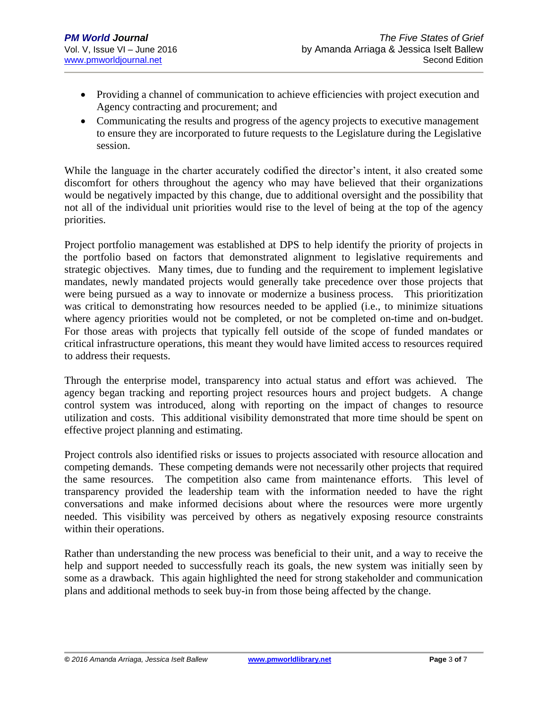- Providing a channel of communication to achieve efficiencies with project execution and Agency contracting and procurement; and
- Communicating the results and progress of the agency projects to executive management to ensure they are incorporated to future requests to the Legislature during the Legislative session.

While the language in the charter accurately codified the director's intent, it also created some discomfort for others throughout the agency who may have believed that their organizations would be negatively impacted by this change, due to additional oversight and the possibility that not all of the individual unit priorities would rise to the level of being at the top of the agency priorities.

Project portfolio management was established at DPS to help identify the priority of projects in the portfolio based on factors that demonstrated alignment to legislative requirements and strategic objectives. Many times, due to funding and the requirement to implement legislative mandates, newly mandated projects would generally take precedence over those projects that were being pursued as a way to innovate or modernize a business process. This prioritization was critical to demonstrating how resources needed to be applied (i.e., to minimize situations where agency priorities would not be completed, or not be completed on-time and on-budget. For those areas with projects that typically fell outside of the scope of funded mandates or critical infrastructure operations, this meant they would have limited access to resources required to address their requests.

Through the enterprise model, transparency into actual status and effort was achieved. The agency began tracking and reporting project resources hours and project budgets. A change control system was introduced, along with reporting on the impact of changes to resource utilization and costs. This additional visibility demonstrated that more time should be spent on effective project planning and estimating.

Project controls also identified risks or issues to projects associated with resource allocation and competing demands. These competing demands were not necessarily other projects that required the same resources. The competition also came from maintenance efforts. This level of transparency provided the leadership team with the information needed to have the right conversations and make informed decisions about where the resources were more urgently needed. This visibility was perceived by others as negatively exposing resource constraints within their operations.

Rather than understanding the new process was beneficial to their unit, and a way to receive the help and support needed to successfully reach its goals, the new system was initially seen by some as a drawback. This again highlighted the need for strong stakeholder and communication plans and additional methods to seek buy-in from those being affected by the change.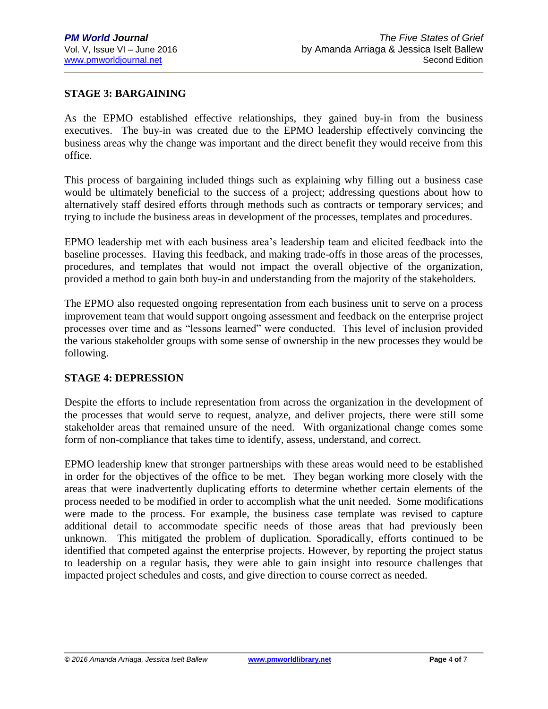## **STAGE 3: BARGAINING**

As the EPMO established effective relationships, they gained buy-in from the business executives. The buy-in was created due to the EPMO leadership effectively convincing the business areas why the change was important and the direct benefit they would receive from this office.

This process of bargaining included things such as explaining why filling out a business case would be ultimately beneficial to the success of a project; addressing questions about how to alternatively staff desired efforts through methods such as contracts or temporary services; and trying to include the business areas in development of the processes, templates and procedures.

EPMO leadership met with each business area's leadership team and elicited feedback into the baseline processes. Having this feedback, and making trade-offs in those areas of the processes, procedures, and templates that would not impact the overall objective of the organization, provided a method to gain both buy-in and understanding from the majority of the stakeholders.

The EPMO also requested ongoing representation from each business unit to serve on a process improvement team that would support ongoing assessment and feedback on the enterprise project processes over time and as "lessons learned" were conducted. This level of inclusion provided the various stakeholder groups with some sense of ownership in the new processes they would be following.

#### **STAGE 4: DEPRESSION**

Despite the efforts to include representation from across the organization in the development of the processes that would serve to request, analyze, and deliver projects, there were still some stakeholder areas that remained unsure of the need. With organizational change comes some form of non-compliance that takes time to identify, assess, understand, and correct.

EPMO leadership knew that stronger partnerships with these areas would need to be established in order for the objectives of the office to be met. They began working more closely with the areas that were inadvertently duplicating efforts to determine whether certain elements of the process needed to be modified in order to accomplish what the unit needed. Some modifications were made to the process. For example, the business case template was revised to capture additional detail to accommodate specific needs of those areas that had previously been unknown. This mitigated the problem of duplication. Sporadically, efforts continued to be identified that competed against the enterprise projects. However, by reporting the project status to leadership on a regular basis, they were able to gain insight into resource challenges that impacted project schedules and costs, and give direction to course correct as needed.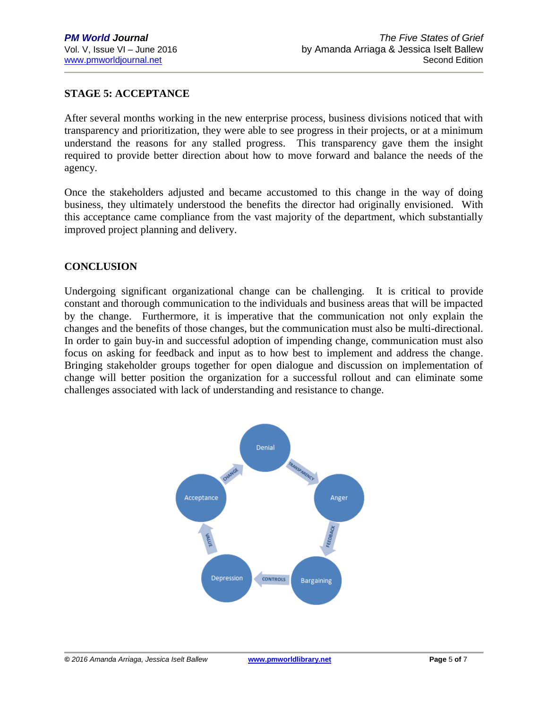## **STAGE 5: ACCEPTANCE**

After several months working in the new enterprise process, business divisions noticed that with transparency and prioritization, they were able to see progress in their projects, or at a minimum understand the reasons for any stalled progress. This transparency gave them the insight required to provide better direction about how to move forward and balance the needs of the agency.

Once the stakeholders adjusted and became accustomed to this change in the way of doing business, they ultimately understood the benefits the director had originally envisioned. With this acceptance came compliance from the vast majority of the department, which substantially improved project planning and delivery.

## **CONCLUSION**

Undergoing significant organizational change can be challenging. It is critical to provide constant and thorough communication to the individuals and business areas that will be impacted by the change. Furthermore, it is imperative that the communication not only explain the changes and the benefits of those changes, but the communication must also be multi-directional. In order to gain buy-in and successful adoption of impending change, communication must also focus on asking for feedback and input as to how best to implement and address the change. Bringing stakeholder groups together for open dialogue and discussion on implementation of change will better position the organization for a successful rollout and can eliminate some challenges associated with lack of understanding and resistance to change.

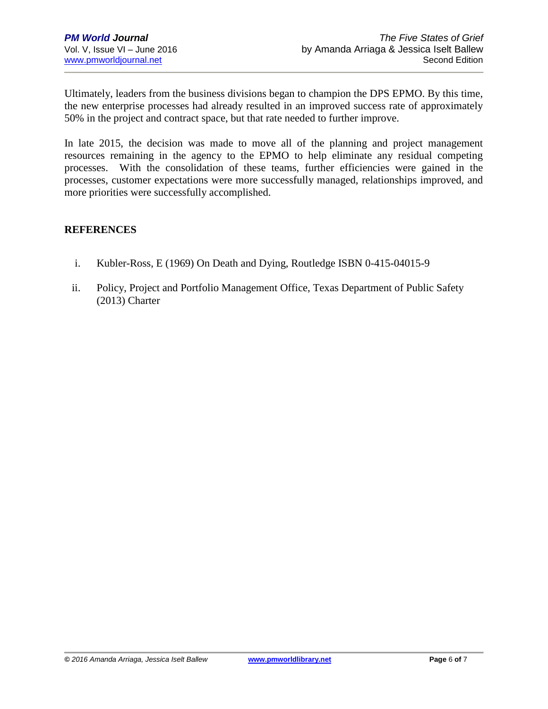Ultimately, leaders from the business divisions began to champion the DPS EPMO. By this time, the new enterprise processes had already resulted in an improved success rate of approximately 50% in the project and contract space, but that rate needed to further improve.

In late 2015, the decision was made to move all of the planning and project management resources remaining in the agency to the EPMO to help eliminate any residual competing processes. With the consolidation of these teams, further efficiencies were gained in the processes, customer expectations were more successfully managed, relationships improved, and more priorities were successfully accomplished.

## **REFERENCES**

- i. Kubler-Ross, E (1969) On Death and Dying, Routledge ISBN 0-415-04015-9
- ii. Policy, Project and Portfolio Management Office, Texas Department of Public Safety (2013) Charter